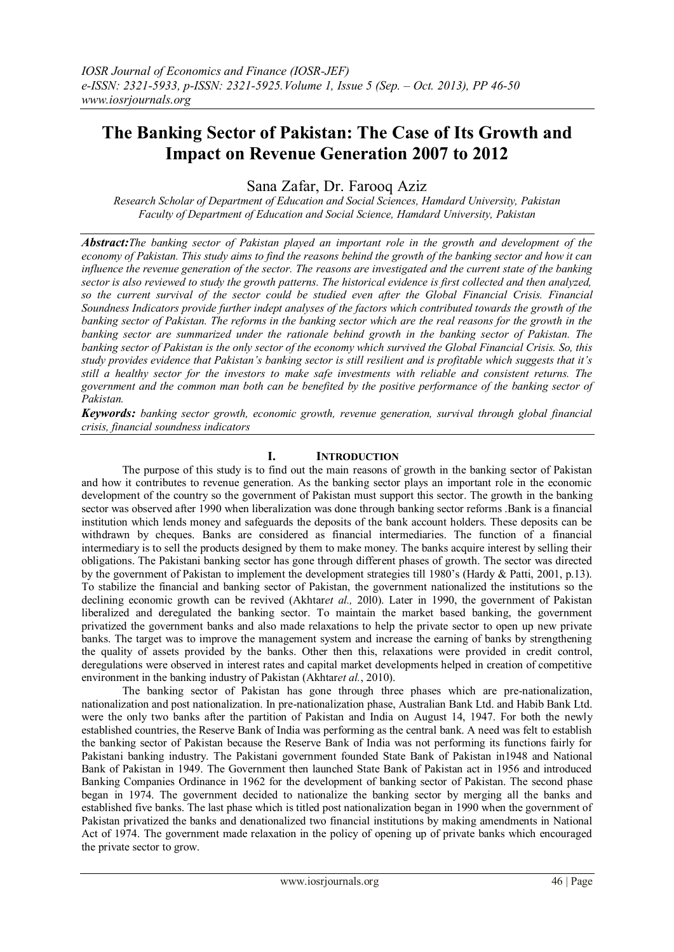# **The Banking Sector of Pakistan: The Case of Its Growth and Impact on Revenue Generation 2007 to 2012**

Sana Zafar, Dr. Farooq Aziz

*Research Scholar of Department of Education and Social Sciences, Hamdard University, Pakistan Faculty of Department of Education and Social Science, Hamdard University, Pakistan*

*Abstract:The banking sector of Pakistan played an important role in the growth and development of the economy of Pakistan. This study aims to find the reasons behind the growth of the banking sector and how it can influence the revenue generation of the sector. The reasons are investigated and the current state of the banking sector is also reviewed to study the growth patterns. The historical evidence is first collected and then analyzed, so the current survival of the sector could be studied even after the Global Financial Crisis. Financial Soundness Indicators provide further indept analyses of the factors which contributed towards the growth of the banking sector of Pakistan. The reforms in the banking sector which are the real reasons for the growth in the banking sector are summarized under the rationale behind growth in the banking sector of Pakistan. The banking sector of Pakistan is the only sector of the economy which survived the Global Financial Crisis. So, this study provides evidence that Pakistan's banking sector is still resilient and is profitable which suggests that it's still a healthy sector for the investors to make safe investments with reliable and consistent returns. The government and the common man both can be benefited by the positive performance of the banking sector of Pakistan.* 

*Keywords: banking sector growth, economic growth, revenue generation, survival through global financial crisis, financial soundness indicators* 

# **I. INTRODUCTION**

The purpose of this study is to find out the main reasons of growth in the banking sector of Pakistan and how it contributes to revenue generation. As the banking sector plays an important role in the economic development of the country so the government of Pakistan must support this sector. The growth in the banking sector was observed after 1990 when liberalization was done through banking sector reforms .Bank is a financial institution which lends money and safeguards the deposits of the bank account holders. These deposits can be withdrawn by cheques. Banks are considered as financial intermediaries. The function of a financial intermediary is to sell the products designed by them to make money. The banks acquire interest by selling their obligations. The Pakistani banking sector has gone through different phases of growth. The sector was directed by the government of Pakistan to implement the development strategies till 1980's (Hardy & Patti, 2001, p.13). To stabilize the financial and banking sector of Pakistan, the government nationalized the institutions so the declining economic growth can be revived (Akhtar*et al.,* 20l0). Later in 1990, the government of Pakistan liberalized and deregulated the banking sector. To maintain the market based banking, the government privatized the government banks and also made relaxations to help the private sector to open up new private banks. The target was to improve the management system and increase the earning of banks by strengthening the quality of assets provided by the banks. Other then this, relaxations were provided in credit control, deregulations were observed in interest rates and capital market developments helped in creation of competitive environment in the banking industry of Pakistan (Akhtar*et al.*, 2010).

The banking sector of Pakistan has gone through three phases which are pre-nationalization, nationalization and post nationalization. In pre-nationalization phase, Australian Bank Ltd. and Habib Bank Ltd. were the only two banks after the partition of Pakistan and India on August 14, 1947. For both the newly established countries, the Reserve Bank of India was performing as the central bank. A need was felt to establish the banking sector of Pakistan because the Reserve Bank of India was not performing its functions fairly for Pakistani banking industry. The Pakistani government founded State Bank of Pakistan in1948 and National Bank of Pakistan in 1949. The Government then launched State Bank of Pakistan act in 1956 and introduced Banking Companies Ordinance in 1962 for the development of banking sector of Pakistan. The second phase began in 1974. The government decided to nationalize the banking sector by merging all the banks and established five banks. The last phase which is titled post nationalization began in 1990 when the government of Pakistan privatized the banks and denationalized two financial institutions by making amendments in National Act of 1974. The government made relaxation in the policy of opening up of private banks which encouraged the private sector to grow.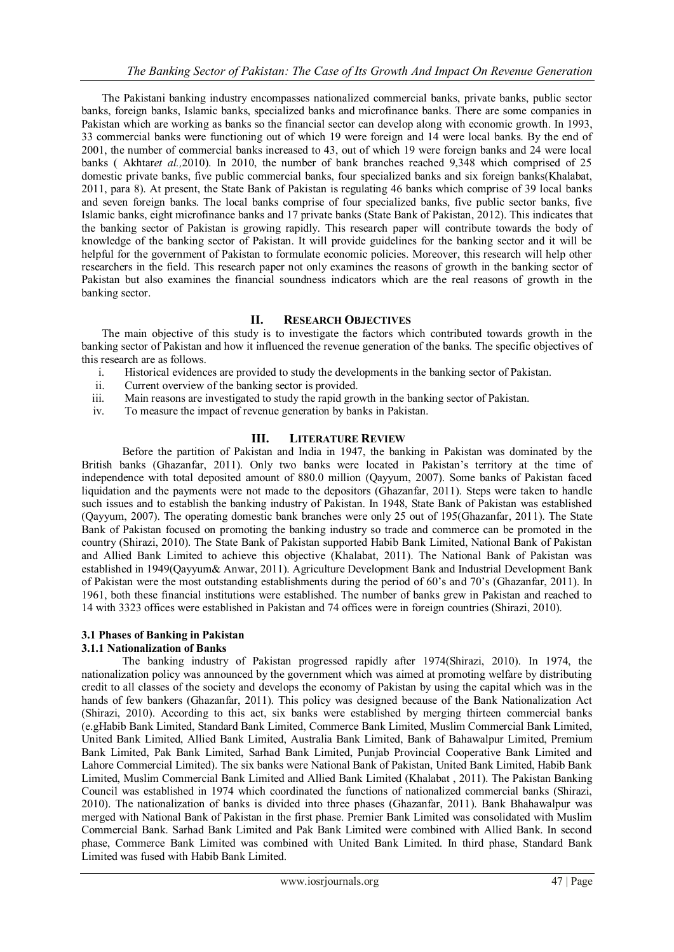The Pakistani banking industry encompasses nationalized commercial banks, private banks, public sector banks, foreign banks, Islamic banks, specialized banks and microfinance banks. There are some companies in Pakistan which are working as banks so the financial sector can develop along with economic growth. In 1993, 33 commercial banks were functioning out of which 19 were foreign and 14 were local banks. By the end of 2001, the number of commercial banks increased to 43, out of which 19 were foreign banks and 24 were local banks ( Akhtar*et al.,*2010). In 2010, the number of bank branches reached 9,348 which comprised of 25 domestic private banks, five public commercial banks, four specialized banks and six foreign banks(Khalabat, 2011, para 8). At present, the State Bank of Pakistan is regulating 46 banks which comprise of 39 local banks and seven foreign banks. The local banks comprise of four specialized banks, five public sector banks, five Islamic banks, eight microfinance banks and 17 private banks (State Bank of Pakistan, 2012). This indicates that the banking sector of Pakistan is growing rapidly. This research paper will contribute towards the body of knowledge of the banking sector of Pakistan. It will provide guidelines for the banking sector and it will be helpful for the government of Pakistan to formulate economic policies. Moreover, this research will help other researchers in the field. This research paper not only examines the reasons of growth in the banking sector of Pakistan but also examines the financial soundness indicators which are the real reasons of growth in the banking sector.

# **II. RESEARCH OBJECTIVES**

The main objective of this study is to investigate the factors which contributed towards growth in the banking sector of Pakistan and how it influenced the revenue generation of the banks. The specific objectives of this research are as follows.

- i. Historical evidences are provided to study the developments in the banking sector of Pakistan.
- ii. Current overview of the banking sector is provided.
- iii. Main reasons are investigated to study the rapid growth in the banking sector of Pakistan.
- iv. To measure the impact of revenue generation by banks in Pakistan.

# **III. LITERATURE REVIEW**

Before the partition of Pakistan and India in 1947, the banking in Pakistan was dominated by the British banks (Ghazanfar, 2011). Only two banks were located in Pakistan's territory at the time of independence with total deposited amount of 880.0 million (Qayyum, 2007). Some banks of Pakistan faced liquidation and the payments were not made to the depositors (Ghazanfar, 2011). Steps were taken to handle such issues and to establish the banking industry of Pakistan. In 1948, State Bank of Pakistan was established (Qayyum, 2007). The operating domestic bank branches were only 25 out of 195(Ghazanfar, 2011). The State Bank of Pakistan focused on promoting the banking industry so trade and commerce can be promoted in the country (Shirazi, 2010). The State Bank of Pakistan supported Habib Bank Limited, National Bank of Pakistan and Allied Bank Limited to achieve this objective (Khalabat, 2011). The National Bank of Pakistan was established in 1949(Qayyum& Anwar, 2011). Agriculture Development Bank and Industrial Development Bank of Pakistan were the most outstanding establishments during the period of 60's and 70's (Ghazanfar, 2011). In 1961, both these financial institutions were established. The number of banks grew in Pakistan and reached to 14 with 3323 offices were established in Pakistan and 74 offices were in foreign countries (Shirazi, 2010).

# **3.1 Phases of Banking in Pakistan**

# **3.1.1 Nationalization of Banks**

The banking industry of Pakistan progressed rapidly after 1974(Shirazi, 2010). In 1974, the nationalization policy was announced by the government which was aimed at promoting welfare by distributing credit to all classes of the society and develops the economy of Pakistan by using the capital which was in the hands of few bankers (Ghazanfar, 2011). This policy was designed because of the Bank Nationalization Act (Shirazi, 2010). According to this act, six banks were established by merging thirteen commercial banks (e.gHabib Bank Limited, Standard Bank Limited, Commerce Bank Limited, Muslim Commercial Bank Limited, United Bank Limited, Allied Bank Limited, Australia Bank Limited, Bank of Bahawalpur Limited, Premium Bank Limited, Pak Bank Limited, Sarhad Bank Limited, Punjab Provincial Cooperative Bank Limited and Lahore Commercial Limited). The six banks were National Bank of Pakistan, United Bank Limited, Habib Bank Limited, Muslim Commercial Bank Limited and Allied Bank Limited (Khalabat , 2011). The Pakistan Banking Council was established in 1974 which coordinated the functions of nationalized commercial banks (Shirazi, 2010). The nationalization of banks is divided into three phases (Ghazanfar, 2011). Bank Bhahawalpur was merged with National Bank of Pakistan in the first phase. Premier Bank Limited was consolidated with Muslim Commercial Bank. Sarhad Bank Limited and Pak Bank Limited were combined with Allied Bank. In second phase, Commerce Bank Limited was combined with United Bank Limited. In third phase, Standard Bank Limited was fused with Habib Bank Limited.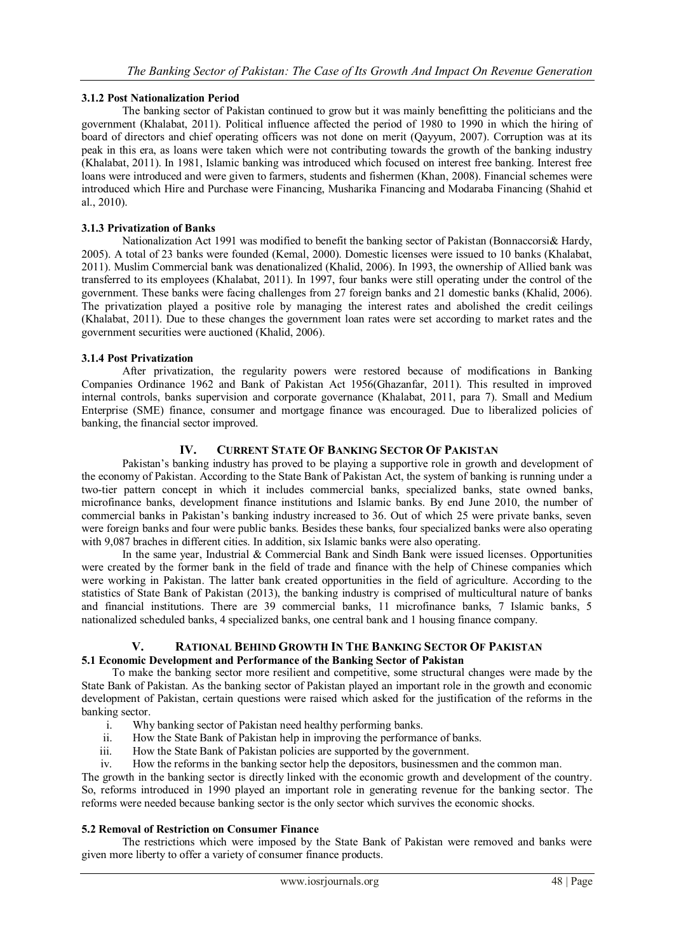# **3.1.2 Post Nationalization Period**

The banking sector of Pakistan continued to grow but it was mainly benefitting the politicians and the government (Khalabat, 2011). Political influence affected the period of 1980 to 1990 in which the hiring of board of directors and chief operating officers was not done on merit (Qayyum, 2007). Corruption was at its peak in this era, as loans were taken which were not contributing towards the growth of the banking industry (Khalabat, 2011). In 1981, Islamic banking was introduced which focused on interest free banking. Interest free loans were introduced and were given to farmers, students and fishermen (Khan, 2008). Financial schemes were introduced which Hire and Purchase were Financing, Musharika Financing and Modaraba Financing (Shahid et al., 2010).

#### **3.1.3 Privatization of Banks**

Nationalization Act 1991 was modified to benefit the banking sector of Pakistan (Bonnaccorsi& Hardy, 2005). A total of 23 banks were founded (Kemal, 2000). Domestic licenses were issued to 10 banks (Khalabat, 2011). Muslim Commercial bank was denationalized (Khalid, 2006). In 1993, the ownership of Allied bank was transferred to its employees (Khalabat, 2011). In 1997, four banks were still operating under the control of the government. These banks were facing challenges from 27 foreign banks and 21 domestic banks (Khalid, 2006). The privatization played a positive role by managing the interest rates and abolished the credit ceilings (Khalabat, 2011). Due to these changes the government loan rates were set according to market rates and the government securities were auctioned (Khalid, 2006).

#### **3.1.4 Post Privatization**

After privatization, the regularity powers were restored because of modifications in Banking Companies Ordinance 1962 and Bank of Pakistan Act 1956(Ghazanfar, 2011). This resulted in improved internal controls, banks supervision and corporate governance (Khalabat, 2011, para 7). Small and Medium Enterprise (SME) finance, consumer and mortgage finance was encouraged. Due to liberalized policies of banking, the financial sector improved.

# **IV. CURRENT STATE OF BANKING SECTOR OF PAKISTAN**

Pakistan's banking industry has proved to be playing a supportive role in growth and development of the economy of Pakistan. According to the State Bank of Pakistan Act, the system of banking is running under a two-tier pattern concept in which it includes commercial banks, specialized banks, state owned banks, microfinance banks, development finance institutions and Islamic banks. By end June 2010, the number of commercial banks in Pakistan's banking industry increased to 36. Out of which 25 were private banks, seven were foreign banks and four were public banks. Besides these banks, four specialized banks were also operating with 9,087 braches in different cities. In addition, six Islamic banks were also operating.

In the same year, Industrial & Commercial Bank and Sindh Bank were issued licenses. Opportunities were created by the former bank in the field of trade and finance with the help of Chinese companies which were working in Pakistan. The latter bank created opportunities in the field of agriculture. According to the statistics of State Bank of Pakistan (2013), the banking industry is comprised of multicultural nature of banks and financial institutions. There are 39 commercial banks, 11 microfinance banks, 7 Islamic banks, 5 nationalized scheduled banks, 4 specialized banks, one central bank and 1 housing finance company.

# **V. RATIONAL BEHIND GROWTH IN THE BANKING SECTOR OF PAKISTAN 5.1 Economic Development and Performance of the Banking Sector of Pakistan**

To make the banking sector more resilient and competitive, some structural changes were made by the State Bank of Pakistan. As the banking sector of Pakistan played an important role in the growth and economic development of Pakistan, certain questions were raised which asked for the justification of the reforms in the banking sector.

- i. Why banking sector of Pakistan need healthy performing banks.<br>ii. How the State Bank of Pakistan help in improving the performan
- How the State Bank of Pakistan help in improving the performance of banks.
- iii. How the State Bank of Pakistan policies are supported by the government.
- iv. How the reforms in the banking sector help the depositors, businessmen and the common man.

The growth in the banking sector is directly linked with the economic growth and development of the country. So, reforms introduced in 1990 played an important role in generating revenue for the banking sector. The reforms were needed because banking sector is the only sector which survives the economic shocks.

# **5.2 Removal of Restriction on Consumer Finance**

The restrictions which were imposed by the State Bank of Pakistan were removed and banks were given more liberty to offer a variety of consumer finance products.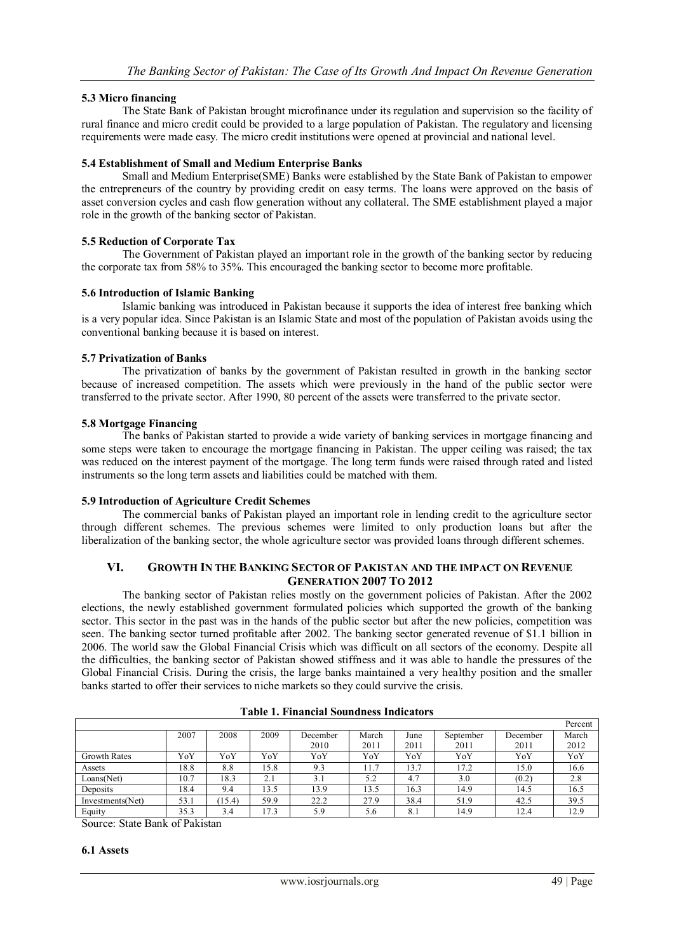# **5.3 Micro financing**

The State Bank of Pakistan brought microfinance under its regulation and supervision so the facility of rural finance and micro credit could be provided to a large population of Pakistan. The regulatory and licensing requirements were made easy. The micro credit institutions were opened at provincial and national level.

#### **5.4 Establishment of Small and Medium Enterprise Banks**

Small and Medium Enterprise(SME) Banks were established by the State Bank of Pakistan to empower the entrepreneurs of the country by providing credit on easy terms. The loans were approved on the basis of asset conversion cycles and cash flow generation without any collateral. The SME establishment played a major role in the growth of the banking sector of Pakistan.

# **5.5 Reduction of Corporate Tax**

The Government of Pakistan played an important role in the growth of the banking sector by reducing the corporate tax from 58% to 35%. This encouraged the banking sector to become more profitable.

#### **5.6 Introduction of Islamic Banking**

Islamic banking was introduced in Pakistan because it supports the idea of interest free banking which is a very popular idea. Since Pakistan is an Islamic State and most of the population of Pakistan avoids using the conventional banking because it is based on interest.

#### **5.7 Privatization of Banks**

The privatization of banks by the government of Pakistan resulted in growth in the banking sector because of increased competition. The assets which were previously in the hand of the public sector were transferred to the private sector. After 1990, 80 percent of the assets were transferred to the private sector.

#### **5.8 Mortgage Financing**

The banks of Pakistan started to provide a wide variety of banking services in mortgage financing and some steps were taken to encourage the mortgage financing in Pakistan. The upper ceiling was raised; the tax was reduced on the interest payment of the mortgage. The long term funds were raised through rated and listed instruments so the long term assets and liabilities could be matched with them.

#### **5.9 Introduction of Agriculture Credit Schemes**

The commercial banks of Pakistan played an important role in lending credit to the agriculture sector through different schemes. The previous schemes were limited to only production loans but after the liberalization of the banking sector, the whole agriculture sector was provided loans through different schemes.

# **VI. GROWTH IN THE BANKING SECTOR OF PAKISTAN AND THE IMPACT ON REVENUE GENERATION 2007 TO 2012**

The banking sector of Pakistan relies mostly on the government policies of Pakistan. After the 2002 elections, the newly established government formulated policies which supported the growth of the banking sector. This sector in the past was in the hands of the public sector but after the new policies, competition was seen. The banking sector turned profitable after 2002. The banking sector generated revenue of \$1.1 billion in 2006. The world saw the Global Financial Crisis which was difficult on all sectors of the economy. Despite all the difficulties, the banking sector of Pakistan showed stiffness and it was able to handle the pressures of the Global Financial Crisis. During the crisis, the large banks maintained a very healthy position and the smaller banks started to offer their services to niche markets so they could survive the crisis.

|                     |      |       |      |          |       |      |           |          | Percent |
|---------------------|------|-------|------|----------|-------|------|-----------|----------|---------|
|                     | 2007 | 2008  | 2009 | December | March | June | September | December | March   |
|                     |      |       |      | 2010     | 2011  | 2011 | 2011      | 2011     | 2012    |
| <b>Growth Rates</b> | YoY  | YoY   | YoY  | YoY      | YoY   | YoY  | YoY       | YoY      | YoY     |
| Assets              | 18.8 | 8.8   | 15.8 | 9.3      | 11.7  | 13.7 | 17.2      | 15.0     | 16.6    |
| Loans(Net)          | 10.7 | 18.3  | 2.1  | 3.1      | 5.2   | 4.7  | 3.0       | (0.2)    | 2.8     |
| Deposits            | 18.4 | 9.4   | 13.5 | 13.9     | 13.5  | 16.3 | 14.9      | 14.5     | 16.5    |
| Investments(Net)    | 53.1 | 15.4) | 59.9 | 22.2     | 27.9  | 38.4 | 51.9      | 42.5     | 39.5    |
| Equity              | 35.3 | 3.4   | 17.3 | 5.9      | 5.6   | 8.1  | 14.9      | 12.4     | 12.9    |

Source: State Bank of Pakistan

#### **6.1 Assets**